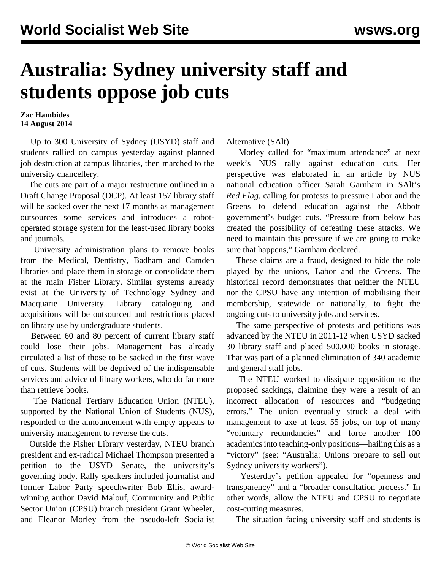## **Australia: Sydney university staff and students oppose job cuts**

## **Zac Hambides 14 August 2014**

 Up to 300 University of Sydney (USYD) staff and students rallied on campus yesterday against planned job destruction at campus libraries, then marched to the university chancellery.

 The cuts are part of a major restructure outlined in a Draft Change Proposal (DCP). At least 157 library staff will be sacked over the next 17 months as management outsources some services and introduces a robotoperated storage system for the least-used library books and journals.

 University administration plans to remove books from the Medical, Dentistry, Badham and Camden libraries and place them in storage or consolidate them at the main Fisher Library. Similar systems already exist at the University of Technology Sydney and Macquarie University. Library cataloguing and acquisitions will be outsourced and restrictions placed on library use by undergraduate students.

 Between 60 and 80 percent of current library staff could lose their jobs. Management has already circulated a list of those to be sacked in the first wave of cuts. Students will be deprived of the indispensable services and advice of library workers, who do far more than retrieve books.

 The National Tertiary Education Union (NTEU), supported by the National Union of Students (NUS), responded to the announcement with empty appeals to university management to reverse the cuts.

 Outside the Fisher Library yesterday, NTEU branch president and ex-radical Michael Thompson presented a petition to the USYD Senate, the university's governing body. Rally speakers included journalist and former Labor Party speechwriter Bob Ellis, awardwinning author David Malouf, Community and Public Sector Union (CPSU) branch president Grant Wheeler, and Eleanor Morley from the pseudo-left Socialist Alternative (SAlt).

 Morley called for "maximum attendance" at next week's NUS rally against education cuts. Her perspective was elaborated in an article by NUS national education officer Sarah Garnham in SAlt's *Red Flag*, calling for protests to pressure Labor and the Greens to defend education against the Abbott government's budget cuts. "Pressure from below has created the possibility of defeating these attacks. We need to maintain this pressure if we are going to make sure that happens," Garnham declared.

 These claims are a fraud, designed to hide the role played by the unions, Labor and the Greens. The historical record demonstrates that neither the NTEU nor the CPSU have any intention of mobilising their membership, statewide or nationally, to fight the ongoing cuts to university jobs and services.

 The same perspective of protests and petitions was advanced by the NTEU in 2011-12 when USYD sacked 30 library staff and placed 500,000 books in storage. That was part of a planned elimination of 340 academic and general staff jobs.

 The NTEU worked to dissipate opposition to the proposed sackings, claiming they were a result of an incorrect allocation of resources and "budgeting errors." The union eventually struck a deal with management to axe at least 55 jobs, on top of many "voluntary redundancies" and force another 100 academics into teaching-only positions—hailing this as a "victory" (see: "[Australia: Unions prepare to sell out](/en/articles/2013/03/16/usyd-m16.html) [Sydney university workers"](/en/articles/2013/03/16/usyd-m16.html)).

 Yesterday's petition appealed for "openness and transparency" and a "broader consultation process." In other words, allow the NTEU and CPSU to negotiate cost-cutting measures.

The situation facing university staff and students is